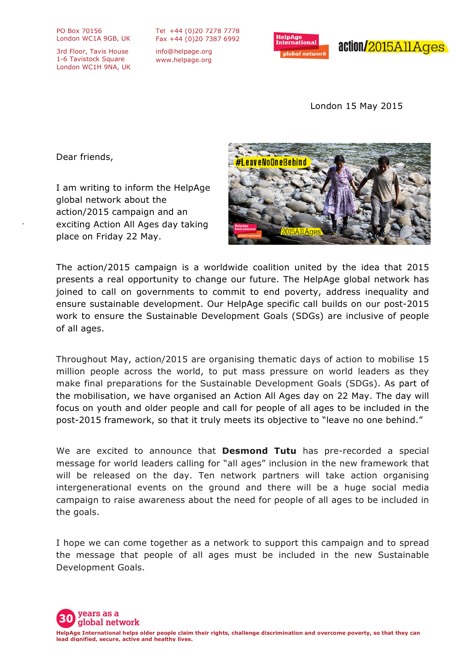PO Box 70156 London WC1A 9GB, UK

3rd Floor, Tavis House 1-6 Tavistock Square London WC1H 9NA, UK

Tel +44 (0)20 7278 7778 Fax +44 (0)20 7387 6992

info@helpage.org www.helpage.org



London 15 May 2015

Dear friends,

I am writing to inform the HelpAge global network about the action/2015 campaign and an exciting Action All Ages day taking place on Friday 22 May.



The action/2015 campaign is a worldwide coalition united by the idea that 2015 presents a real opportunity to change our future. The HelpAge global network has joined to call on governments to commit to end poverty, address inequality and ensure sustainable development. Our HelpAge specific call builds on our post-2015 work to ensure the Sustainable Development Goals (SDGs) are inclusive of people of all ages.

Throughout May, action/2015 are organising thematic days of action to mobilise 15 million people across the world, to put mass pressure on world leaders as they make final preparations for the Sustainable Development Goals (SDGs). As part of the mobilisation, we have organised an Action All Ages day on 22 May. The day will focus on youth and older people and call for people of all ages to be included in the post-2015 framework, so that it truly meets its objective to "leave no one behind."

We are excited to announce that **Desmond Tutu** has pre-recorded a special message for world leaders calling for "all ages" inclusion in the new framework that will be released on the day. Ten network partners will take action organising intergenerational events on the ground and there will be a huge social media campaign to raise awareness about the need for people of all ages to be included in the goals.

I hope we can come together as a network to support this campaign and to spread the message that people of all ages must be included in the new Sustainable Development Goals.

years as a global network **HelpAge International helps older people claim their rights, challenge discrimination and overcome poverty, so that they can lead dignified, secure, active and healthy lives.**